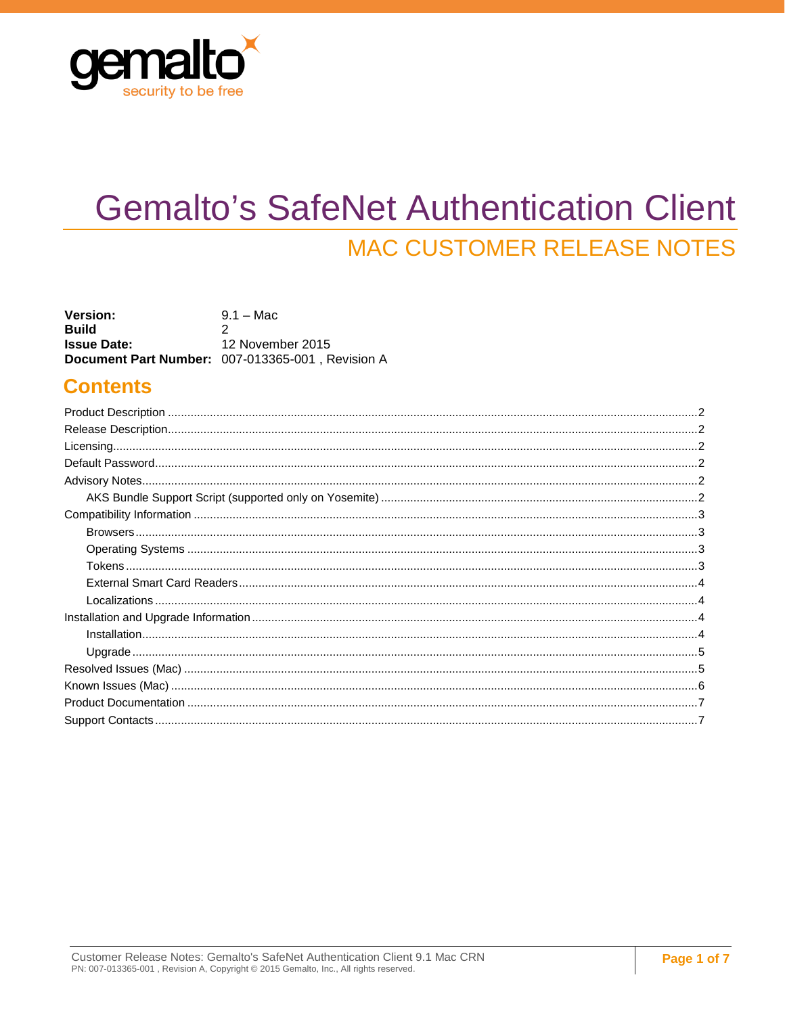

# <span id="page-0-0"></span>**Gemalto's SafeNet Authentication Client MAC CUSTOMER RELEASE NOTES**

| <b>Version:</b>    | $9.1 - Mac$                                             |
|--------------------|---------------------------------------------------------|
| <b>Build</b>       |                                                         |
| <b>Issue Date:</b> | 12 November 2015                                        |
|                    | <b>Document Part Number: 007-013365-001, Revision A</b> |

### **Contents**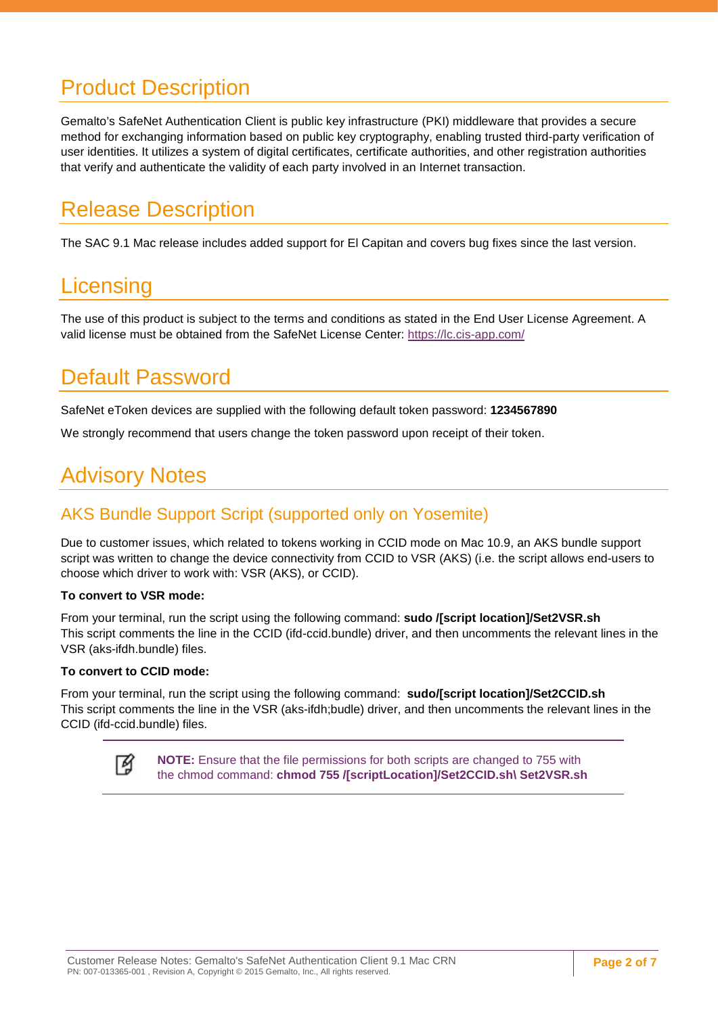## <span id="page-1-0"></span>Product Description

<span id="page-1-1"></span>Gemalto's SafeNet Authentication Client is public key infrastructure (PKI) middleware that provides a secure method for exchanging information based on public key cryptography, enabling trusted third-party verification of user identities. It utilizes a system of digital certificates, certificate authorities, and other registration authorities that verify and authenticate the validity of each party involved in an Internet transaction.

## <span id="page-1-2"></span>Release Description

The SAC 9.1 Mac release includes added support for El Capitan and covers bug fixes since the last version.

### <span id="page-1-3"></span>**Licensing**

The use of this product is subject to the terms and conditions as stated in the End User License Agreement. A valid license must be obtained from the SafeNet License Center:<https://lc.cis-app.com/>

## Default Password

<span id="page-1-4"></span>SafeNet eToken devices are supplied with the following default token password: **1234567890**

<span id="page-1-5"></span>We strongly recommend that users change the token password upon receipt of their token.

## Advisory Notes

### <span id="page-1-6"></span>AKS Bundle Support Script (supported only on Yosemite)

Due to customer issues, which related to tokens working in CCID mode on Mac 10.9, an AKS bundle support script was written to change the device connectivity from CCID to VSR (AKS) (i.e. the script allows end-users to choose which driver to work with: VSR (AKS), or CCID).

#### **To convert to VSR mode:**

From your terminal, run the script using the following command: **sudo /[script location]/Set2VSR.sh** This script comments the line in the CCID (ifd-ccid.bundle) driver, and then uncomments the relevant lines in the VSR (aks-ifdh.bundle) files.

#### **To convert to CCID mode:**

From your terminal, run the script using the following command: **sudo/[script location]/Set2CCID.sh** This script comments the line in the VSR (aks-ifdh;budle) driver, and then uncomments the relevant lines in the CCID (ifd-ccid.bundle) files.

**NOTE:** Ensure that the file permissions for both scripts are changed to 755 with M the chmod command: **chmod 755 /[scriptLocation]/Set2CCID.sh\ Set2VSR.sh**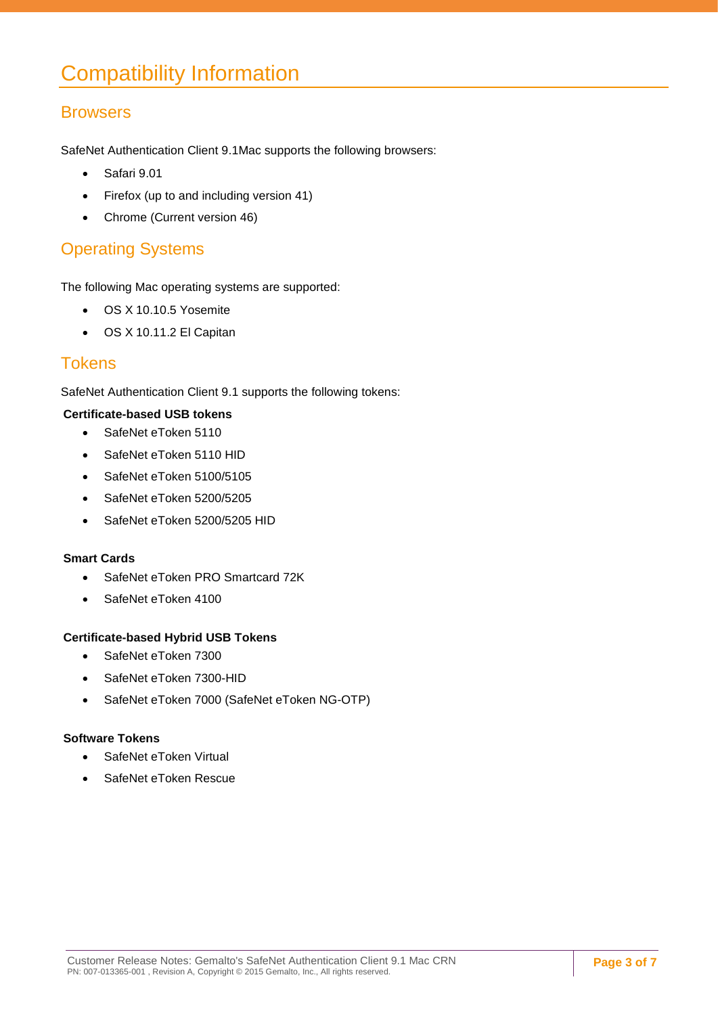## <span id="page-2-1"></span><span id="page-2-0"></span>Compatibility Information

### **Browsers**

SafeNet Authentication Client 9.1Mac supports the following browsers:

- <span id="page-2-2"></span>• Safari 9.01
- Firefox (up to and including version 41)
- Chrome (Current version 46)

### Operating Systems

<span id="page-2-3"></span>The following Mac operating systems are supported:

- OS X 10.10.5 Yosemite
- OS X 10.11.2 El Capitan

### **Tokens**

SafeNet Authentication Client 9.1 supports the following tokens:

#### **Certificate-based USB tokens**

- SafeNet eToken 5110
- SafeNet eToken 5110 HID
- SafeNet eToken 5100/5105
- SafeNet eToken 5200/5205
- SafeNet eToken 5200/5205 HID

#### **Smart Cards**

- SafeNet eToken PRO Smartcard 72K
- SafeNet eToken 4100

#### **Certificate-based Hybrid USB Tokens**

- SafeNet eToken 7300
- SafeNet eToken 7300-HID
- SafeNet eToken 7000 (SafeNet eToken NG-OTP)

#### **Software Tokens**

- SafeNet eToken Virtual
- SafeNet eToken Rescue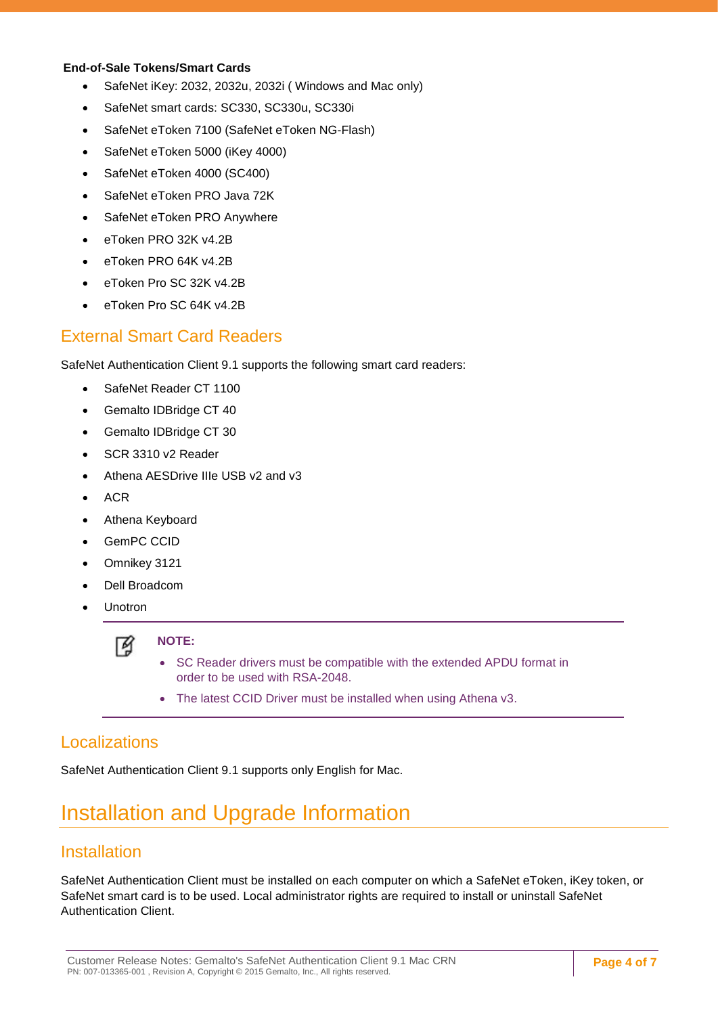#### **End-of-Sale Tokens/Smart Cards**

- SafeNet iKey: 2032, 2032u, 2032i ( Windows and Mac only)
- SafeNet smart cards: SC330, SC330u, SC330i
- SafeNet eToken 7100 (SafeNet eToken NG-Flash)
- SafeNet eToken 5000 (iKey 4000)
- SafeNet eToken 4000 (SC400)
- SafeNet eToken PRO Java 72K
- SafeNet eToken PRO Anywhere
- eToken PRO 32K v4.2B
- <span id="page-3-0"></span>• eToken PRO 64K v4.2B
- eToken Pro SC 32K v4.2B
- eToken Pro SC 64K v4.2B

#### External Smart Card Readers

SafeNet Authentication Client 9.1 supports the following smart card readers:

- SafeNet Reader CT 1100
- Gemalto IDBridge CT 40
- Gemalto IDBridge CT 30
- SCR 3310 v2 Reader
- Athena AESDrive IIIe USB v2 and v3
- ACR
- Athena Keyboard
- GemPC CCID
- Omnikey 3121
- Dell Broadcom
- **Unotron**

<span id="page-3-1"></span>

#### **NOTE:**

- SC Reader drivers must be compatible with the extended APDU format in order to be used with RSA-2048.
- The latest CCID Driver must be installed when using Athena v3.

### <span id="page-3-2"></span>**Localizations**

<span id="page-3-3"></span>SafeNet Authentication Client 9.1 supports only English for Mac.

### Installation and Upgrade Information

### **Installation**

SafeNet Authentication Client must be installed on each computer on which a SafeNet eToken, iKey token, or SafeNet smart card is to be used. Local administrator rights are required to install or uninstall SafeNet Authentication Client.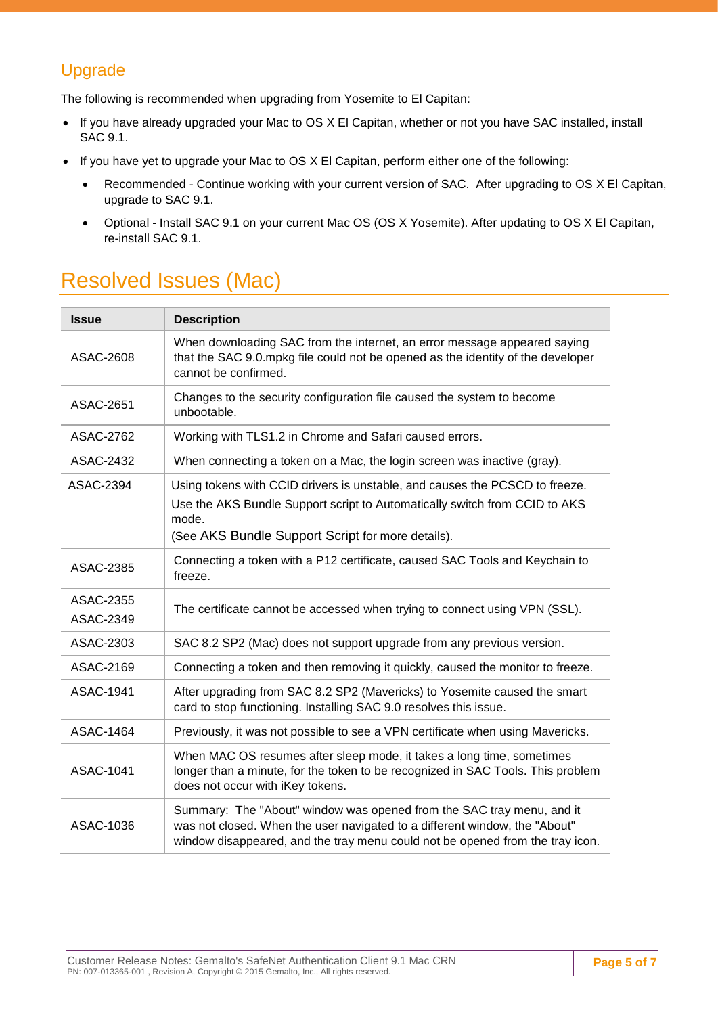### <span id="page-4-0"></span>Upgrade

The following is recommended when upgrading from Yosemite to El Capitan:

- If you have already upgraded your Mac to OS X El Capitan, whether or not you have SAC installed, install SAC 9.1.
- <span id="page-4-1"></span>• If you have yet to upgrade your Mac to OS X El Capitan, perform either one of the following:
	- Recommended Continue working with your current version of SAC. After upgrading to OS X El Capitan, upgrade to SAC 9.1.
	- Optional Install SAC 9.1 on your current Mac OS (OS X Yosemite). After updating to OS X El Capitan, re-install SAC 9.1.

## Resolved Issues (Mac)

| <b>Issue</b>           | <b>Description</b>                                                                                                                                                                                                                   |
|------------------------|--------------------------------------------------------------------------------------------------------------------------------------------------------------------------------------------------------------------------------------|
| ASAC-2608              | When downloading SAC from the internet, an error message appeared saying<br>that the SAC 9.0.mpkg file could not be opened as the identity of the developer<br>cannot be confirmed.                                                  |
| <b>ASAC-2651</b>       | Changes to the security configuration file caused the system to become<br>unbootable.                                                                                                                                                |
| <b>ASAC-2762</b>       | Working with TLS1.2 in Chrome and Safari caused errors.                                                                                                                                                                              |
| <b>ASAC-2432</b>       | When connecting a token on a Mac, the login screen was inactive (gray).                                                                                                                                                              |
| <b>ASAC-2394</b>       | Using tokens with CCID drivers is unstable, and causes the PCSCD to freeze.<br>Use the AKS Bundle Support script to Automatically switch from CCID to AKS<br>mode.<br>(See AKS Bundle Support Script for more details).              |
| ASAC-2385              | Connecting a token with a P12 certificate, caused SAC Tools and Keychain to<br>freeze.                                                                                                                                               |
| ASAC-2355<br>ASAC-2349 | The certificate cannot be accessed when trying to connect using VPN (SSL).                                                                                                                                                           |
| ASAC-2303              | SAC 8.2 SP2 (Mac) does not support upgrade from any previous version.                                                                                                                                                                |
| ASAC-2169              | Connecting a token and then removing it quickly, caused the monitor to freeze.                                                                                                                                                       |
| <b>ASAC-1941</b>       | After upgrading from SAC 8.2 SP2 (Mavericks) to Yosemite caused the smart<br>card to stop functioning. Installing SAC 9.0 resolves this issue.                                                                                       |
| <b>ASAC-1464</b>       | Previously, it was not possible to see a VPN certificate when using Mavericks.                                                                                                                                                       |
| <b>ASAC-1041</b>       | When MAC OS resumes after sleep mode, it takes a long time, sometimes<br>longer than a minute, for the token to be recognized in SAC Tools. This problem<br>does not occur with iKey tokens.                                         |
| ASAC-1036              | Summary: The "About" window was opened from the SAC tray menu, and it<br>was not closed. When the user navigated to a different window, the "About"<br>window disappeared, and the tray menu could not be opened from the tray icon. |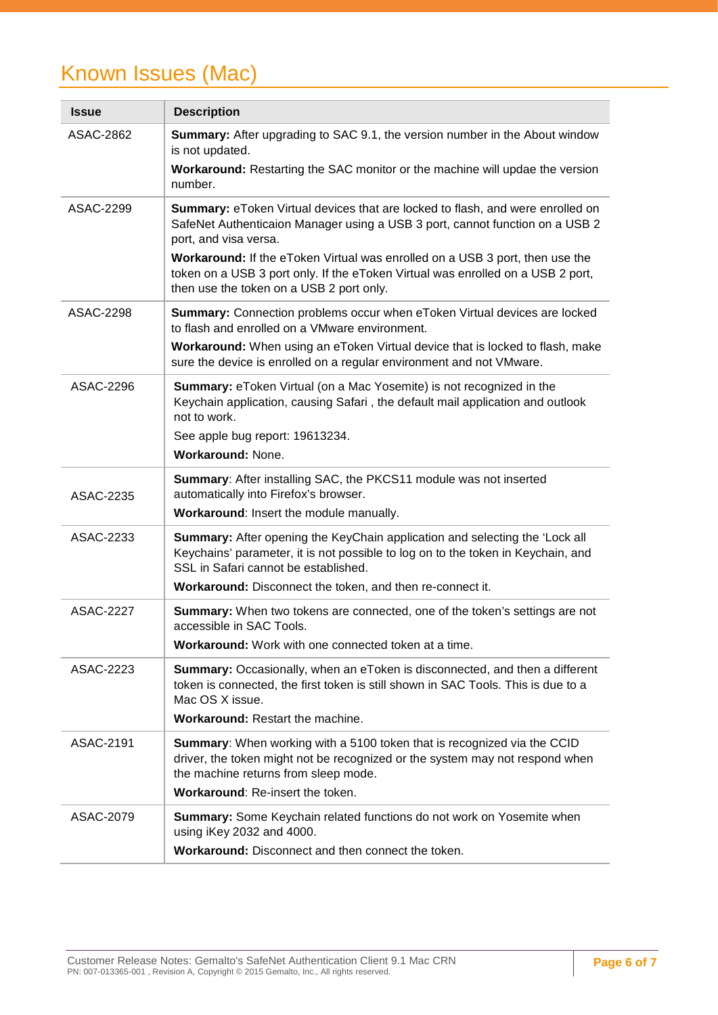## <span id="page-5-0"></span>Known Issues (Mac)

| <b>Issue</b>     | <b>Description</b>                                                                                                                                                                                                                                                                                                                                                                                            |
|------------------|---------------------------------------------------------------------------------------------------------------------------------------------------------------------------------------------------------------------------------------------------------------------------------------------------------------------------------------------------------------------------------------------------------------|
| ASAC-2862        | <b>Summary:</b> After upgrading to SAC 9.1, the version number in the About window<br>is not updated.<br><b>Workaround:</b> Restarting the SAC monitor or the machine will updae the version<br>number.                                                                                                                                                                                                       |
| ASAC-2299        | Summary: eToken Virtual devices that are locked to flash, and were enrolled on<br>SafeNet Authenticaion Manager using a USB 3 port, cannot function on a USB 2<br>port, and visa versa.<br><b>Workaround:</b> If the eToken Virtual was enrolled on a USB 3 port, then use the<br>token on a USB 3 port only. If the eToken Virtual was enrolled on a USB 2 port,<br>then use the token on a USB 2 port only. |
| ASAC-2298        | Summary: Connection problems occur when eToken Virtual devices are locked<br>to flash and enrolled on a VMware environment.<br>Workaround: When using an eToken Virtual device that is locked to flash, make<br>sure the device is enrolled on a regular environment and not VMware.                                                                                                                          |
| ASAC-2296        | <b>Summary:</b> eToken Virtual (on a Mac Yosemite) is not recognized in the<br>Keychain application, causing Safari, the default mail application and outlook<br>not to work.<br>See apple bug report: 19613234.<br>Workaround: None.                                                                                                                                                                         |
| ASAC-2235        | Summary: After installing SAC, the PKCS11 module was not inserted<br>automatically into Firefox's browser.<br>Workaround: Insert the module manually.                                                                                                                                                                                                                                                         |
| ASAC-2233        | Summary: After opening the KeyChain application and selecting the 'Lock all<br>Keychains' parameter, it is not possible to log on to the token in Keychain, and<br>SSL in Safari cannot be established.<br>Workaround: Disconnect the token, and then re-connect it.                                                                                                                                          |
| <b>ASAC-2227</b> | <b>Summary:</b> When two tokens are connected, one of the token's settings are not<br>accessible in SAC Tools.<br>Workaround: Work with one connected token at a time.                                                                                                                                                                                                                                        |
| ASAC-2223        | Summary: Occasionally, when an eToken is disconnected, and then a different<br>token is connected, the first token is still shown in SAC Tools. This is due to a<br>Mac OS X issue.<br>Workaround: Restart the machine.                                                                                                                                                                                       |
| ASAC-2191        | Summary: When working with a 5100 token that is recognized via the CCID<br>driver, the token might not be recognized or the system may not respond when<br>the machine returns from sleep mode.<br>Workaround: Re-insert the token.                                                                                                                                                                           |
| ASAC-2079        | Summary: Some Keychain related functions do not work on Yosemite when<br>using iKey 2032 and 4000.<br>Workaround: Disconnect and then connect the token.                                                                                                                                                                                                                                                      |